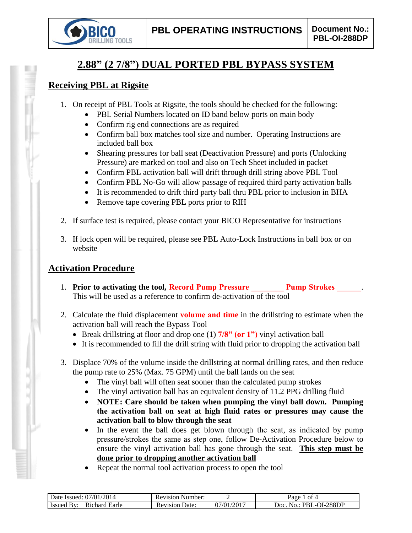

# **2.88" (2 7/8") DUAL PORTED PBL BYPASS SYSTEM**

### **Receiving PBL at Rigsite**

- 1. On receipt of PBL Tools at Rigsite, the tools should be checked for the following:
	- PBL Serial Numbers located on ID band below ports on main body
	- Confirm rig end connections are as required
	- Confirm ball box matches tool size and number. Operating Instructions are included ball box
	- Shearing pressures for ball seat (Deactivation Pressure) and ports (Unlocking Pressure) are marked on tool and also on Tech Sheet included in packet
	- Confirm PBL activation ball will drift through drill string above PBL Tool
	- Confirm PBL No-Go will allow passage of required third party activation balls
	- It is recommended to drift third party ball thru PBL prior to inclusion in BHA
	- Remove tape covering PBL ports prior to RIH
- 2. If surface test is required, please contact your BICO Representative for instructions
- 3. If lock open will be required, please see PBL Auto-Lock Instructions in ball box or on website

# **Activation Procedure**

- 1. **Prior to activating the tool, Record Pump Pressure Pump Strokes 2014** This will be used as a reference to confirm de-activation of the tool
- 2. Calculate the fluid displacement **volume and time** in the drillstring to estimate when the activation ball will reach the Bypass Tool
	- Break drillstring at floor and drop one (1) **7/8" (or 1")** vinyl activation ball
	- It is recommended to fill the drill string with fluid prior to dropping the activation ball
- 3. Displace 70% of the volume inside the drillstring at normal drilling rates, and then reduce the pump rate to 25% (Max. 75 GPM) until the ball lands on the seat
	- The vinyl ball will often seat sooner than the calculated pump strokes
	- The vinyl activation ball has an equivalent density of 11.2 PPG drilling fluid
	- **NOTE: Care should be taken when pumping the vinyl ball down. Pumping the activation ball on seat at high fluid rates or pressures may cause the activation ball to blow through the seat**
	- In the event the ball does get blown through the seat, as indicated by pump pressure/strokes the same as step one, follow De-Activation Procedure below to ensure the vinyl activation ball has gone through the seat. **This step must be done prior to dropping another activation ball**
	- Repeat the normal tool activation process to open the tool

| 2014<br>07/01/<br>Date .<br>- Issued:                | Number:<br>Kevision<br>⊟ K⊾ |               | ot 4<br>Раое                                     |
|------------------------------------------------------|-----------------------------|---------------|--------------------------------------------------|
| Earle<br>chard<br>- Issued<br><b>R</b> <sub>10</sub> | Jate:<br>evision.<br>ĸι     | /2017<br>1∖01 | -288DF<br><u>าเ</u><br>ഥല<br>PRI<br>$\mathbf{a}$ |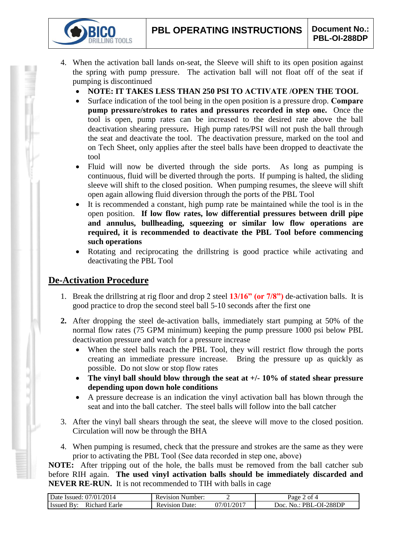- 4. When the activation ball lands on-seat, the Sleeve will shift to its open position against the spring with pump pressure. The activation ball will not float off of the seat if pumping is discontinued
	- **NOTE: IT TAKES LESS THAN 250 PSI TO ACTIVATE /OPEN THE TOOL**
	- Surface indication of the tool being in the open position is a pressure drop. **Compare pump pressure/strokes to rates and pressures recorded in step one.** Once the tool is open, pump rates can be increased to the desired rate above the ball deactivation shearing pressure**.** High pump rates/PSI will not push the ball through the seat and deactivate the tool. The deactivation pressure, marked on the tool and on Tech Sheet, only applies after the steel balls have been dropped to deactivate the tool
	- Fluid will now be diverted through the side ports. As long as pumping is continuous, fluid will be diverted through the ports. If pumping is halted, the sliding sleeve will shift to the closed position. When pumping resumes, the sleeve will shift open again allowing fluid diversion through the ports of the PBL Tool
	- It is recommended a constant, high pump rate be maintained while the tool is in the open position. **If low flow rates, low differential pressures between drill pipe and annulus, bullheading, squeezing or similar low flow operations are required, it is recommended to deactivate the PBL Tool before commencing such operations**
	- Rotating and reciprocating the drillstring is good practice while activating and deactivating the PBL Tool

# **De-Activation Procedure**

**TOOLS** 

- 1. Break the drillstring at rig floor and drop 2 steel **13/16" (or 7/8")** de-activation balls. It is good practice to drop the second steel ball 5-10 seconds after the first one
- **2.** After dropping the steel de-activation balls, immediately start pumping at 50% of the normal flow rates (75 GPM minimum) keeping the pump pressure 1000 psi below PBL deactivation pressure and watch for a pressure increase
	- When the steel balls reach the PBL Tool, they will restrict flow through the ports creating an immediate pressure increase. Bring the pressure up as quickly as possible. Do not slow or stop flow rates
	- **The vinyl ball should blow through the seat at +/- 10% of stated shear pressure depending upon down hole conditions**
	- A pressure decrease is an indication the vinyl activation ball has blown through the seat and into the ball catcher. The steel balls will follow into the ball catcher
- 3. After the vinyl ball shears through the seat, the sleeve will move to the closed position. Circulation will now be through the BHA
- 4. When pumping is resumed, check that the pressure and strokes are the same as they were prior to activating the PBL Tool (See data recorded in step one, above)

**NOTE:** After tripping out of the hole, the balls must be removed from the ball catcher sub before RIH again. **The used vinyl activation balls should be immediately discarded and NEVER RE-RUN.** It is not recommended to TIH with balls in cage

| Date Issued: 07/01/2014            | <b>Revision Number:</b>  |                          | of 4<br>Page                   |
|------------------------------------|--------------------------|--------------------------|--------------------------------|
| <b>Issued By:</b><br>Richard Earle | Date:<br><b>Revision</b> | $1/01/201$ <sup>-1</sup> | ∟-OI-288DP<br>-No.: PBL<br>10C |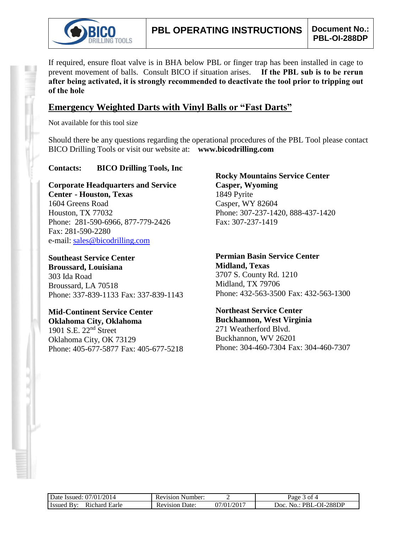

If required, ensure float valve is in BHA below PBL or finger trap has been installed in cage to prevent movement of balls. Consult BICO if situation arises. **If the PBL sub is to be rerun after being activated, it is strongly recommended to deactivate the tool prior to tripping out of the hole**

### **Emergency Weighted Darts with Vinyl Balls or "Fast Darts"**

Not available for this tool size

Should there be any questions regarding the operational procedures of the PBL Tool please contact BICO Drilling Tools or visit our website at: **www.bicodrilling.com**

#### **Contacts: BICO Drilling Tools, Inc**

**Corporate Headquarters and Service Center - Houston, Texas** 1604 Greens Road Houston, TX 77032 Phone: 281-590-6966, 877-779-2426 Fax: 281-590-2280 e-mail: [sales@bicodrilling.com](mailto:sales@bicodrilling.com)

**Southeast Service Center Broussard, Louisiana** 303 Ida Road Broussard, LA 70518 Phone: 337-839-1133 Fax: 337-839-1143

**Mid-Continent Service Center Oklahoma City, Oklahoma** 1901 S.E. 22nd Street Oklahoma City, OK 73129 Phone: 405-677-5877 Fax: 405-677-5218

**Rocky Mountains Service Center Casper, Wyoming** 1849 Pyrite Casper, WY 82604 Phone: 307-237-1420, 888-437-1420 Fax: 307-237-1419

**Permian Basin Service Center Midland, Texas** 3707 S. County Rd. 1210 Midland, TX 79706 Phone: 432-563-3500 Fax: 432-563-1300

**Northeast Service Center Buckhannon, West Virginia** 271 Weatherford Blvd. Buckhannon, WV 26201 Phone: 304-460-7304 Fax: 304-460-7307

| Date Issued: 07/01/2014           | <b>Revision Number:</b> |            | 3 of 4<br>Page               |
|-----------------------------------|-------------------------|------------|------------------------------|
| Issued By<br>Richard Earle<br>Rv. | <b>Revision Date:</b>   | 07/01/2017 | No.: PBL-OI-288DP<br>$20c$ . |